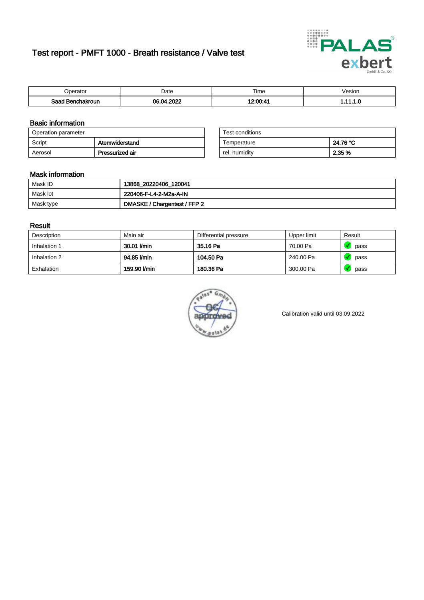# Test report - PMFT 1000 - Breath resistance / Valve test



| )perator               | Date                                    | $- \cdot$<br>i ime | esion |
|------------------------|-----------------------------------------|--------------------|-------|
| המס<br>hakroun<br>32 H | 0000<br>∵∩∧<br>$\overline{\phantom{a}}$ | 10.00.1            | .     |

### Basic information

| Operation parameter |                 | Test conditions |          |
|---------------------|-----------------|-----------------|----------|
| Script              | Atemwiderstand  | Temperature     | 24.76 °C |
| Aerosol             | Pressurized air | rel. humidity   | 2.35 %   |

| Test conditions |          |
|-----------------|----------|
| Temperature     | 24.76 °C |
| rel. humidity   | 2.35 %   |

### Mask information

| Mask ID   | 13868_20220406_120041        |
|-----------|------------------------------|
| Mask lot  | 220406-F-L4-2-M2a-A-IN       |
| Mask type | DMASKE / Chargentest / FFP 2 |

### Result

| Description  | Main air     | Differential pressure | Upper limit | Result |
|--------------|--------------|-----------------------|-------------|--------|
| Inhalation 1 | 30.01 l/min  | 35.16 Pa              | 70.00 Pa    | pass   |
| Inhalation 2 | 94.85 l/min  | 104.50 Pa             | 240.00 Pa   | pass   |
| Exhalation   | 159.90 l/min | 180.36 Pa             | 300.00 Pa   | pass   |



Calibration valid until 03.09.2022